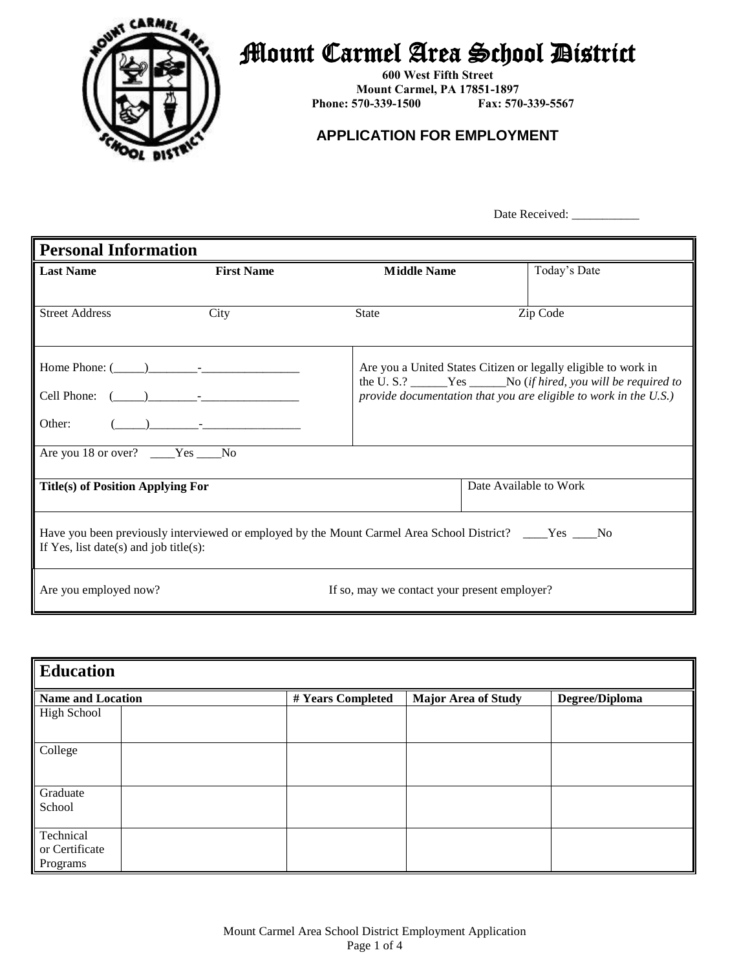

**600 West Fifth Street Mount Carmel, PA 17851-1897 Phone: 570-339-1500 Fax: 570-339-5567**

**APPLICATION FOR EMPLOYMENT**

Date Received: \_\_\_\_\_\_\_\_\_\_\_\_

| <b>Personal Information</b>                                                                                                                        |                      |                                                                |                                                                                                                                   |  |  |
|----------------------------------------------------------------------------------------------------------------------------------------------------|----------------------|----------------------------------------------------------------|-----------------------------------------------------------------------------------------------------------------------------------|--|--|
| <b>Last Name</b>                                                                                                                                   | <b>First Name</b>    | <b>Middle Name</b>                                             | Today's Date                                                                                                                      |  |  |
|                                                                                                                                                    |                      |                                                                |                                                                                                                                   |  |  |
| <b>Street Address</b>                                                                                                                              | City                 | <b>State</b>                                                   | Zip Code                                                                                                                          |  |  |
|                                                                                                                                                    |                      |                                                                |                                                                                                                                   |  |  |
|                                                                                                                                                    | Home Phone: $(\_\_)$ | Are you a United States Citizen or legally eligible to work in |                                                                                                                                   |  |  |
|                                                                                                                                                    |                      |                                                                | the U.S.? _____Yes _____No (if hired, you will be required to<br>provide documentation that you are eligible to work in the U.S.) |  |  |
| Other:                                                                                                                                             |                      |                                                                |                                                                                                                                   |  |  |
| Are you 18 or over? ____Yes ____No                                                                                                                 |                      |                                                                |                                                                                                                                   |  |  |
| <b>Title(s) of Position Applying For</b>                                                                                                           |                      |                                                                | Date Available to Work                                                                                                            |  |  |
| Have you been previously interviewed or employed by the Mount Carmel Area School District? ____Yes ___No<br>If Yes, list date(s) and job title(s): |                      |                                                                |                                                                                                                                   |  |  |
| Are you employed now?<br>If so, may we contact your present employer?                                                                              |                      |                                                                |                                                                                                                                   |  |  |

| <b>Education</b>           |  |                   |                            |                |
|----------------------------|--|-------------------|----------------------------|----------------|
| <b>Name and Location</b>   |  | # Years Completed | <b>Major Area of Study</b> | Degree/Diploma |
| <b>High School</b>         |  |                   |                            |                |
| College                    |  |                   |                            |                |
| Graduate                   |  |                   |                            |                |
| School                     |  |                   |                            |                |
| Technical                  |  |                   |                            |                |
| or Certificate<br>Programs |  |                   |                            |                |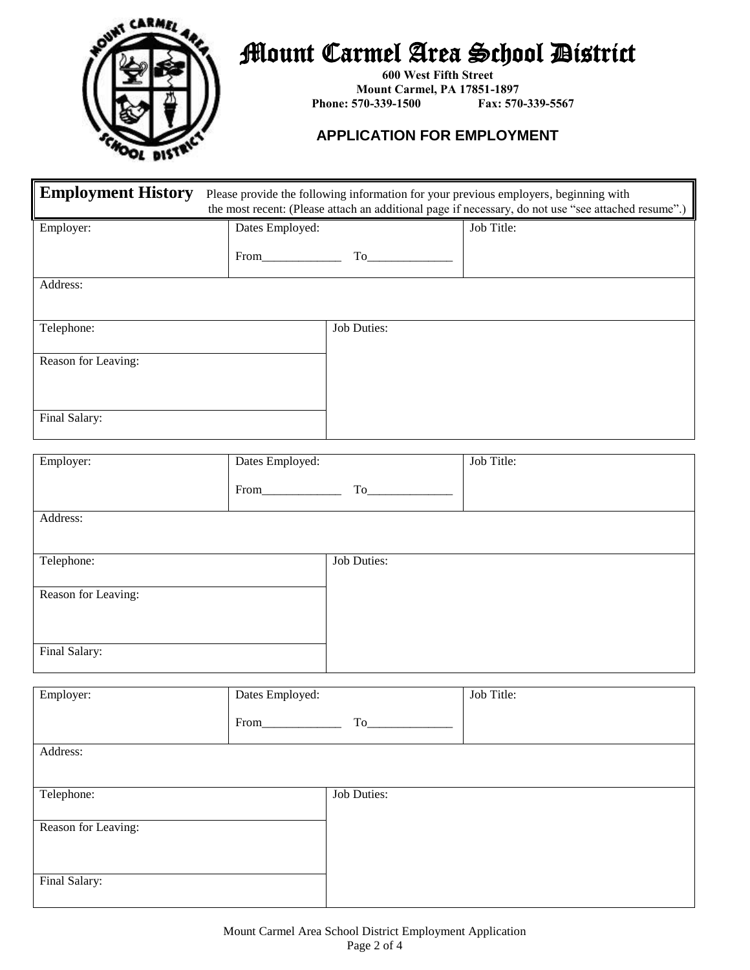

**600 West Fifth Street Mount Carmel, PA 17851-1897 Phone: 570-339-1500 Fax: 570-339-5567**

 $\overline{\mathbf{1}}$ 

#### **APPLICATION FOR EMPLOYMENT**

| <b>Employment History</b> |                 |                    | Please provide the following information for your previous employers, beginning with<br>the most recent: (Please attach an additional page if necessary, do not use "see attached resume".) |
|---------------------------|-----------------|--------------------|---------------------------------------------------------------------------------------------------------------------------------------------------------------------------------------------|
| Employer:                 | Dates Employed: |                    | Job Title:                                                                                                                                                                                  |
|                           |                 | $From$ $To$        |                                                                                                                                                                                             |
| Address:                  |                 |                    |                                                                                                                                                                                             |
| Telephone:                |                 | <b>Job Duties:</b> |                                                                                                                                                                                             |
| Reason for Leaving:       |                 |                    |                                                                                                                                                                                             |
| Final Salary:             |                 |                    |                                                                                                                                                                                             |
| Employer:                 | Dates Employed: |                    | Job Title:                                                                                                                                                                                  |
|                           |                 | $From$ $To$ $To$   |                                                                                                                                                                                             |
| Address:                  |                 |                    |                                                                                                                                                                                             |
|                           |                 | Job Duties:        |                                                                                                                                                                                             |
| Telephone:                |                 |                    |                                                                                                                                                                                             |
| Reason for Leaving:       |                 |                    |                                                                                                                                                                                             |
|                           |                 |                    |                                                                                                                                                                                             |
| Final Salary:             |                 |                    |                                                                                                                                                                                             |
|                           |                 |                    |                                                                                                                                                                                             |
| Employer:                 | Dates Employed: |                    | Job Title:                                                                                                                                                                                  |
|                           |                 |                    |                                                                                                                                                                                             |
| Address:                  |                 |                    |                                                                                                                                                                                             |
| Telephone:                |                 | Job Duties:        |                                                                                                                                                                                             |
| Reason for Leaving:       |                 |                    |                                                                                                                                                                                             |
| Final Salary:             |                 |                    |                                                                                                                                                                                             |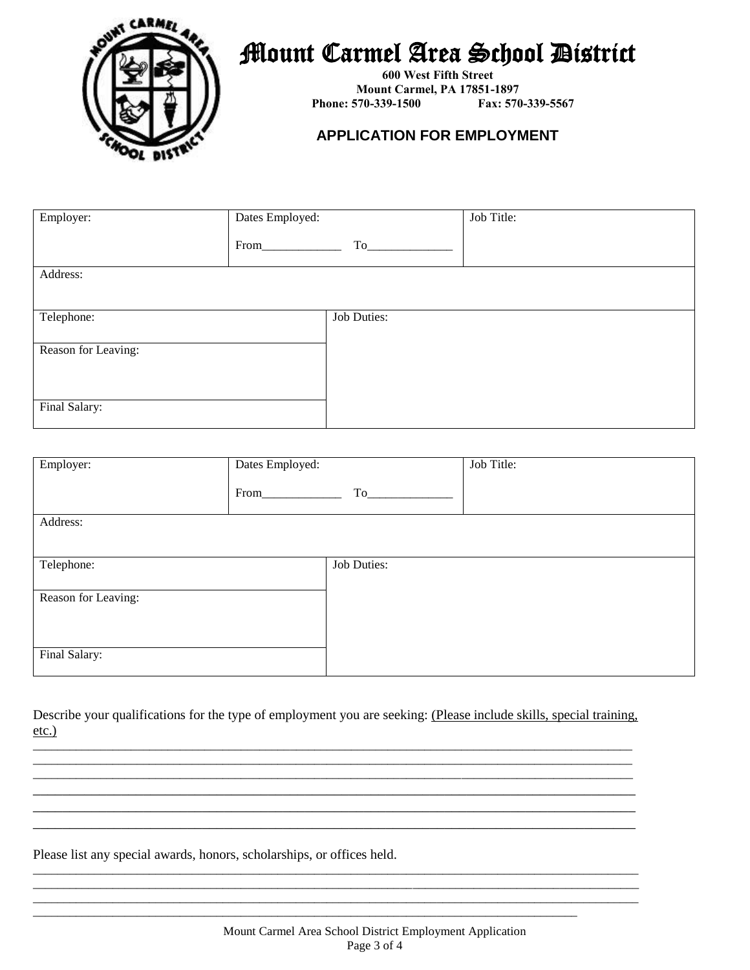

**600 West Fifth Street Mount Carmel, PA 17851-1897 Phone: 570-339-1500 Fax: 570-339-5567**

#### **APPLICATION FOR EMPLOYMENT**

| Employer:           | Dates Employed: |                    | Job Title: |
|---------------------|-----------------|--------------------|------------|
|                     | From            | To_                |            |
| Address:            |                 |                    |            |
|                     |                 |                    |            |
| Telephone:          |                 | <b>Job Duties:</b> |            |
|                     |                 |                    |            |
| Reason for Leaving: |                 |                    |            |
|                     |                 |                    |            |
|                     |                 |                    |            |
| Final Salary:       |                 |                    |            |
|                     |                 |                    |            |

| Employer:           | Dates Employed: |             | Job Title: |
|---------------------|-----------------|-------------|------------|
|                     | From            | To          |            |
| Address:            |                 |             |            |
| Telephone:          |                 | Job Duties: |            |
| Reason for Leaving: |                 |             |            |
|                     |                 |             |            |
| Final Salary:       |                 |             |            |

Describe your qualifications for the type of employment you are seeking: (Please include skills, special training, etc.) \_\_\_\_\_\_\_\_\_\_\_\_\_\_\_\_\_\_\_\_\_\_\_\_\_\_\_\_\_\_\_\_\_\_\_\_\_\_\_\_\_\_\_\_\_\_\_\_\_\_\_\_\_\_\_\_\_\_\_\_\_\_\_\_\_\_\_\_\_\_\_\_\_\_\_\_\_\_\_\_\_\_\_\_\_\_\_\_\_\_\_\_\_\_\_\_\_\_

 $\overline{a_1}$  ,  $\overline{a_2}$  ,  $\overline{a_3}$  ,  $\overline{a_4}$  ,  $\overline{a_5}$  ,  $\overline{a_6}$  ,  $\overline{a_7}$  ,  $\overline{a_8}$  ,  $\overline{a_9}$  ,  $\overline{a_9}$  ,  $\overline{a_9}$  ,  $\overline{a_9}$  ,  $\overline{a_9}$  ,  $\overline{a_9}$  ,  $\overline{a_9}$  ,  $\overline{a_9}$  ,  $\overline{a_9}$  ,

\_\_\_\_\_\_\_\_\_\_\_\_\_\_\_\_\_\_\_\_\_\_\_\_\_\_\_\_\_\_\_\_\_\_\_\_\_\_\_\_\_\_\_\_\_\_\_\_\_\_\_\_\_\_\_\_\_\_\_\_\_\_\_\_\_\_\_\_\_\_\_\_\_\_\_\_\_\_\_\_\_\_ \_\_\_\_\_\_\_\_\_\_\_\_\_\_\_\_\_\_\_\_\_\_\_\_\_\_\_\_\_\_\_\_\_\_\_\_\_\_\_\_\_\_\_\_\_\_\_\_\_\_\_\_\_\_\_\_\_\_\_\_\_\_\_\_\_\_\_\_\_\_\_\_\_\_\_\_\_\_\_\_\_\_ \_\_\_\_\_\_\_\_\_\_\_\_\_\_\_\_\_\_\_\_\_\_\_\_\_\_\_\_\_\_\_\_\_\_\_\_\_\_\_\_\_\_\_\_\_\_\_\_\_\_\_\_\_\_\_\_\_\_\_\_\_\_\_\_\_\_\_\_\_\_\_\_\_\_\_\_\_\_\_\_\_\_

\_\_\_\_\_\_\_\_\_\_\_\_\_\_\_\_\_\_\_\_\_\_\_\_\_\_\_\_\_\_\_\_\_\_\_\_\_\_\_\_\_\_\_\_\_\_\_\_\_\_\_\_\_\_\_\_\_\_\_\_\_\_\_\_\_\_\_\_\_\_\_\_\_\_\_\_\_\_\_\_\_\_\_\_\_\_\_\_\_\_\_\_\_\_\_\_\_\_\_

\_\_\_\_\_\_\_\_\_\_\_\_\_\_\_\_\_\_\_\_\_\_\_\_\_\_\_\_\_\_\_\_\_\_\_\_\_\_\_\_\_\_\_\_\_\_\_\_\_\_\_\_\_\_\_\_\_\_\_\_\_\_\_\_\_\_\_\_\_\_\_\_\_\_\_\_\_\_\_\_\_\_\_\_\_\_\_\_\_

Please list any special awards, honors, scholarships, or offices held.